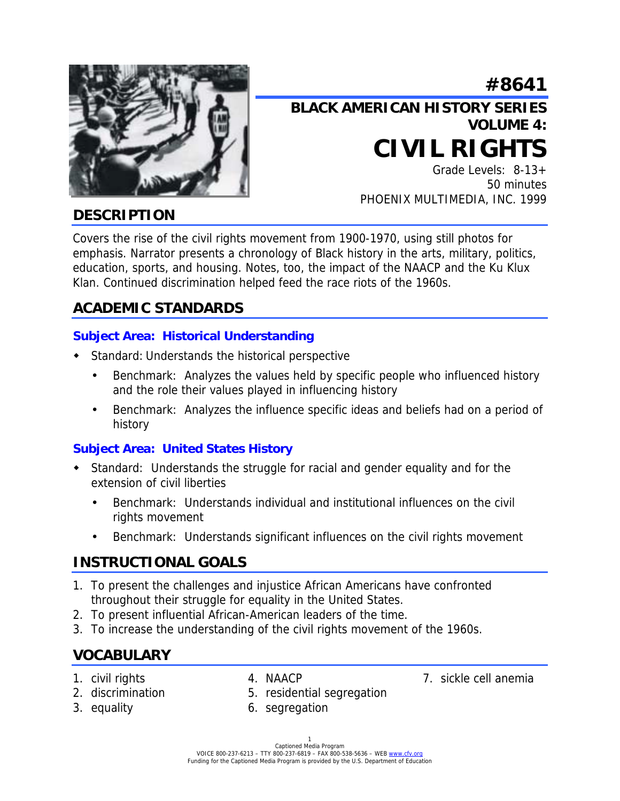

# **#8641 BLACK AMERICAN HISTORY SERIES VOLUME 4: CIVIL RIGHTS**

Grade Levels: 8-13+ 50 minutes PHOENIX MULTIMEDIA, INC. 1999

# **DESCRIPTION**

Covers the rise of the civil rights movement from 1900-1970, using still photos for emphasis. Narrator presents a chronology of Black history in the arts, military, politics, education, sports, and housing. Notes, too, the impact of the NAACP and the Ku Klux Klan. Continued discrimination helped feed the race riots of the 1960s.

# **ACADEMIC STANDARDS**

### **Subject Area: Historical Understanding**

- ! Standard: Understands the historical perspective
	- Benchmark: Analyzes the values held by specific people who influenced history and the role their values played in influencing history
	- Benchmark: Analyzes the influence specific ideas and beliefs had on a period of history

### **Subject Area: United States History**

- Standard: Understands the struggle for racial and gender equality and for the extension of civil liberties
	- Benchmark: Understands individual and institutional influences on the civil rights movement
	- Benchmark: Understands significant influences on the civil rights movement

# **INSTRUCTIONAL GOALS**

- 1. To present the challenges and injustice African Americans have confronted throughout their struggle for equality in the United States.
- 2. To present influential African-American leaders of the time.
- 3. To increase the understanding of the civil rights movement of the 1960s.

# **VOCABULARY**

- 
- 1. civil rights **4. NAACP** 7. sickle cell anemia
- 
- 2. discrimination 5. residential segregation
- 
- 3. equality 6. segregation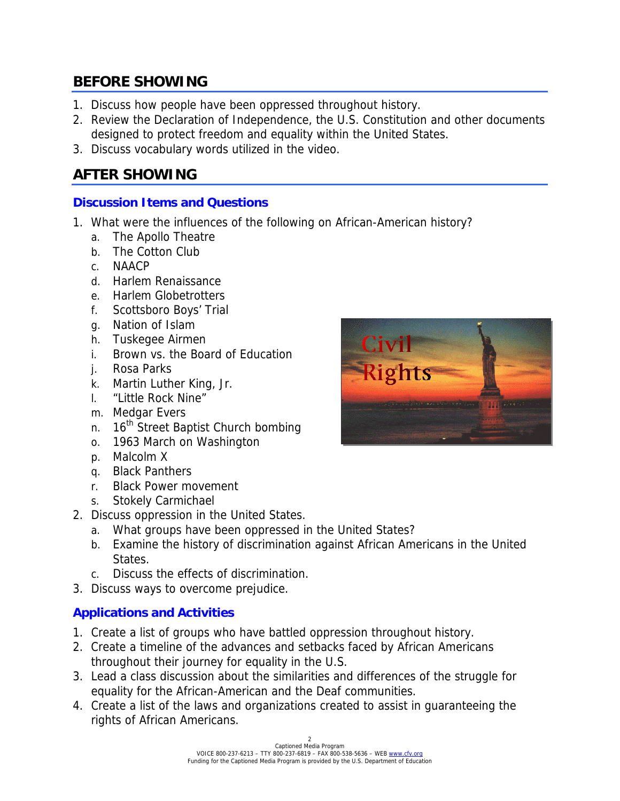# **BEFORE SHOWING**

- 1. Discuss how people have been oppressed throughout history.
- 2. Review the Declaration of Independence, the U.S. Constitution and other documents designed to protect freedom and equality within the United States.
- 3. Discuss vocabulary words utilized in the video.

# **AFTER SHOWING**

### **Discussion Items and Questions**

- 1. What were the influences of the following on African-American history?
	- a. The Apollo Theatre
	- b. The Cotton Club
	- c. NAACP
	- d. Harlem Renaissance
	- e. Harlem Globetrotters
	- f. Scottsboro Boys' Trial
	- g. Nation of Islam
	- h. Tuskegee Airmen
	- i. Brown vs. the Board of Education
	- j. Rosa Parks
	- k. Martin Luther King, Jr.
	- l. "Little Rock Nine"
	- m. Medgar Evers
	- n. 16<sup>th</sup> Street Baptist Church bombing
	- o. 1963 March on Washington
	- p. Malcolm X
	- q. Black Panthers
	- r. Black Power movement
	- s. Stokely Carmichael
- 2. Discuss oppression in the United States.
	- a. What groups have been oppressed in the United States?
	- b. Examine the history of discrimination against African Americans in the United States.
	- c. Discuss the effects of discrimination.
- 3. Discuss ways to overcome prejudice.

### **Applications and Activities**

- 1. Create a list of groups who have battled oppression throughout history.
- 2. Create a timeline of the advances and setbacks faced by African Americans throughout their journey for equality in the U.S.
- 3. Lead a class discussion about the similarities and differences of the struggle for equality for the African-American and the Deaf communities.
- 4. Create a list of the laws and organizations created to assist in guaranteeing the rights of African Americans.

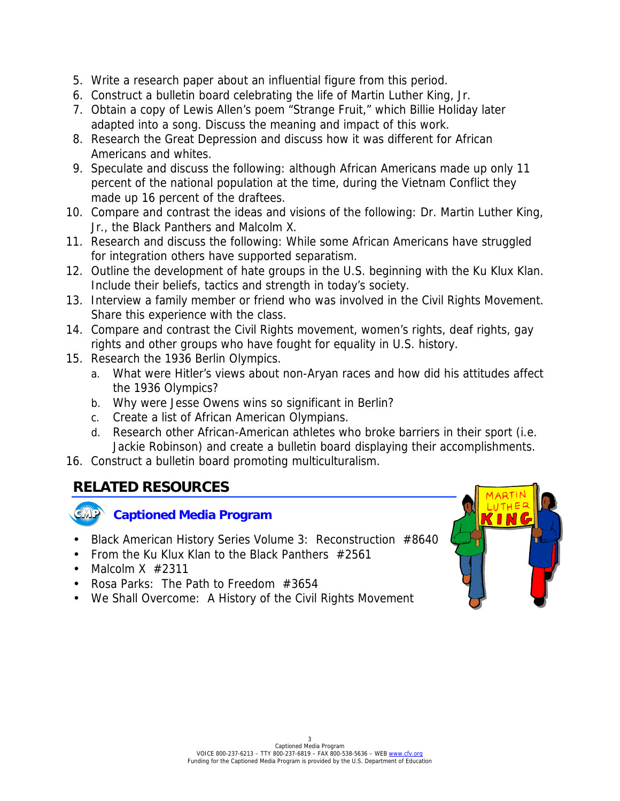- 5. Write a research paper about an influential figure from this period.
- 6. Construct a bulletin board celebrating the life of Martin Luther King, Jr.
- 7. Obtain a copy of Lewis Allen's poem "Strange Fruit," which Billie Holiday later adapted into a song. Discuss the meaning and impact of this work.
- 8. Research the Great Depression and discuss how it was different for African Americans and whites.
- 9. Speculate and discuss the following: although African Americans made up only 11 percent of the national population at the time, during the Vietnam Conflict they made up 16 percent of the draftees.
- 10. Compare and contrast the ideas and visions of the following: Dr. Martin Luther King, Jr., the Black Panthers and Malcolm X.
- 11. Research and discuss the following: While some African Americans have struggled for integration others have supported separatism.
- 12. Outline the development of hate groups in the U.S. beginning with the Ku Klux Klan. Include their beliefs, tactics and strength in today's society.
- 13. Interview a family member or friend who was involved in the Civil Rights Movement. Share this experience with the class.
- 14. Compare and contrast the Civil Rights movement, women's rights, deaf rights, gay rights and other groups who have fought for equality in U.S. history.
- 15. Research the 1936 Berlin Olympics.
	- a. What were Hitler's views about non-Aryan races and how did his attitudes affect the 1936 Olympics?
	- b. Why were Jesse Owens wins so significant in Berlin?
	- c. Create a list of African American Olympians.
	- d. Research other African-American athletes who broke barriers in their sport (i.e. Jackie Robinson) and create a bulletin board displaying their accomplishments.
- 16. Construct a bulletin board promoting multiculturalism.

# **RELATED RESOURCES**



- Black American History Series Volume 3: Reconstruction #8640
- From the Ku Klux Klan to the Black Panthers #2561
- Malcolm  $X \neq 2311$
- Rosa Parks: The Path to Freedom #3654
- We Shall Overcome: A History of the Civil Rights Movement